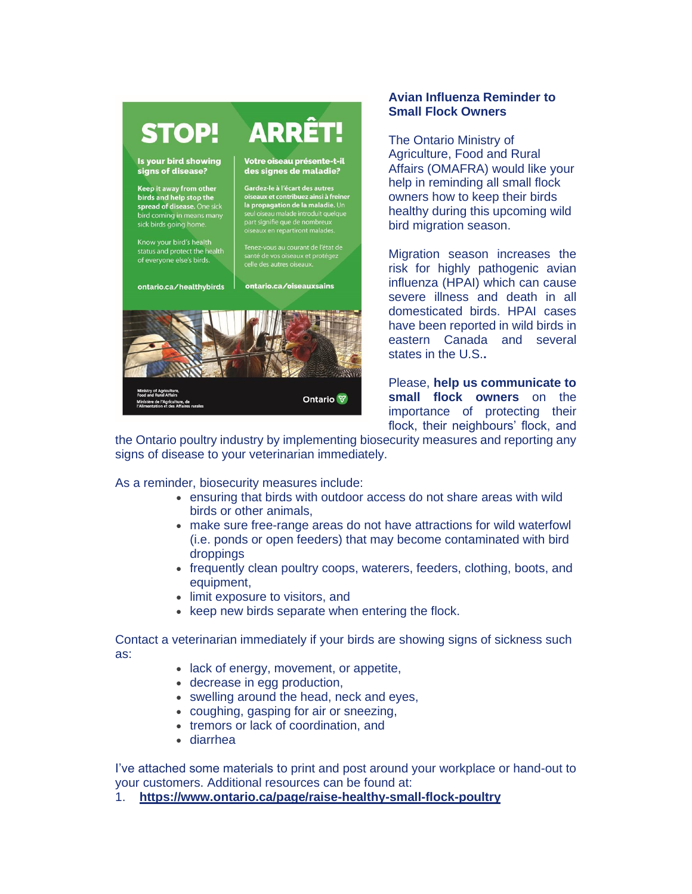

## **Avian Influenza Reminder to Small Flock Owners**

The Ontario Ministry of Agriculture, Food and Rural Affairs (OMAFRA) would like your help in reminding all small flock owners how to keep their birds healthy during this upcoming wild bird migration season.

Migration season increases the risk for highly pathogenic avian influenza (HPAI) which can cause severe illness and death in all domesticated birds. HPAI cases have been reported in wild birds in eastern Canada and several states in the U.S.**.**

Please, **help us communicate to small flock owners** on the importance of protecting their flock, their neighbours' flock, and

the Ontario poultry industry by implementing biosecurity measures and reporting any signs of disease to your veterinarian immediately.

Ontario<sup></sup>

As a reminder, biosecurity measures include:

- ensuring that birds with outdoor access do not share areas with wild birds or other animals,
- make sure free-range areas do not have attractions for wild waterfowl (i.e. ponds or open feeders) that may become contaminated with bird droppings
- frequently clean poultry coops, waterers, feeders, clothing, boots, and equipment,
- limit exposure to visitors, and
- keep new birds separate when entering the flock.

Contact a veterinarian immediately if your birds are showing signs of sickness such as:

- lack of energy, movement, or appetite,
- decrease in egg production,
- swelling around the head, neck and eyes.
- coughing, gasping for air or sneezing,
- tremors or lack of coordination, and
- diarrhea

I've attached some materials to print and post around your workplace or hand-out to your customers. Additional resources can be found at:

1. **[https://www.ontario.ca/page/raise-healthy-small-flock-poultry](https://r20.rs6.net/tn.jsp?f=00194H8Z2ZbNUSQnwWcBjOHKYOkSknoE8KKAF36a1pg1CrRCTtMCrlS4OevdofEHc-CO8iWjmeJggzuMzf4sXgwNC7NJ5fxpWnMFn5jrSyoY7Ga0nt7yDTtlKcPb6RuP022qLqsS7Jl6nWsswH_Hx0_bNR-m97xhMcNIMzBCV1e045ZBkHo8X1wdseduE3WqHmnEVrSpFWGjdM=&c=YM43xBIJzyQLFFwgoF1S4jqvDDKJ7fP4oiVNA7ks-0mYXIAjMRt1Hg==&ch=mmjX2WeSoro-5kJrIwa5_I40lI4ZS4hU9YCFVFao1_jh0sTOdHEBOA==)**